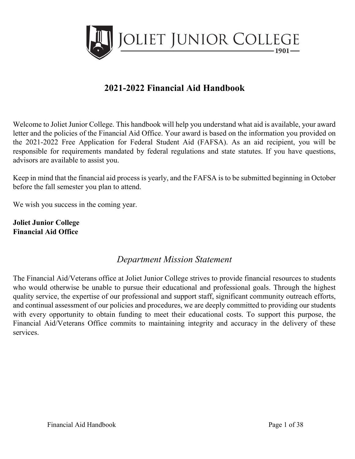

# **2021-2022 Financial Aid Handbook**

Welcome to Joliet Junior College. This handbook will help you understand what aid is available, your award letter and the policies of the Financial Aid Office. Your award is based on the information you provided on the 2021-2022 Free Application for Federal Student Aid (FAFSA). As an aid recipient, you will be responsible for requirements mandated by federal regulations and state statutes. If you have questions, advisors are available to assist you.

Keep in mind that the financial aid process is yearly, and the FAFSA is to be submitted beginning in October before the fall semester you plan to attend.

We wish you success in the coming year.

**Joliet Junior College Financial Aid Office** 

## *Department Mission Statement*

The Financial Aid/Veterans office at Joliet Junior College strives to provide financial resources to students who would otherwise be unable to pursue their educational and professional goals. Through the highest quality service, the expertise of our professional and support staff, significant community outreach efforts, and continual assessment of our policies and procedures, we are deeply committed to providing our students with every opportunity to obtain funding to meet their educational costs. To support this purpose, the Financial Aid/Veterans Office commits to maintaining integrity and accuracy in the delivery of these services.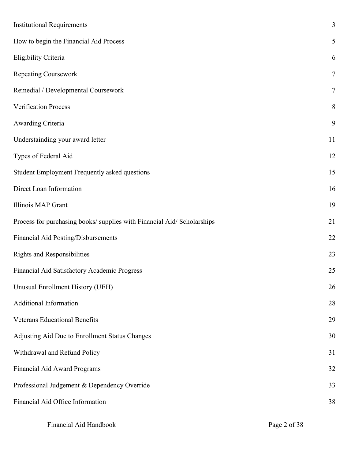| <b>Institutional Requirements</b>                                       | 3              |
|-------------------------------------------------------------------------|----------------|
| How to begin the Financial Aid Process                                  | 5              |
| Eligibility Criteria                                                    | 6              |
| <b>Repeating Coursework</b>                                             | $\overline{7}$ |
| Remedial / Developmental Coursework                                     | $\overline{7}$ |
| Verification Process                                                    | 8              |
| Awarding Criteria                                                       | 9              |
| Understainding your award letter                                        | 11             |
| Types of Federal Aid                                                    | 12             |
| Student Employment Frequently asked questions                           | 15             |
| Direct Loan Information                                                 | 16             |
| Illinois MAP Grant                                                      | 19             |
| Process for purchasing books/ supplies with Financial Aid/ Scholarships | 21             |
| Financial Aid Posting/Disbursements                                     | 22             |
| <b>Rights and Responsibilities</b>                                      | 23             |
| Financial Aid Satisfactory Academic Progress                            | 25             |
| Unusual Enrollment History (UEH)                                        | 26             |
| Additional Information                                                  | 28             |
| <b>Veterans Educational Benefits</b>                                    | 29             |
| Adjusting Aid Due to Enrollment Status Changes                          | 30             |
| Withdrawal and Refund Policy                                            | 31             |
| Financial Aid Award Programs                                            | 32             |
| Professional Judgement & Dependency Override                            | 33             |
| Financial Aid Office Information                                        | 38             |
|                                                                         |                |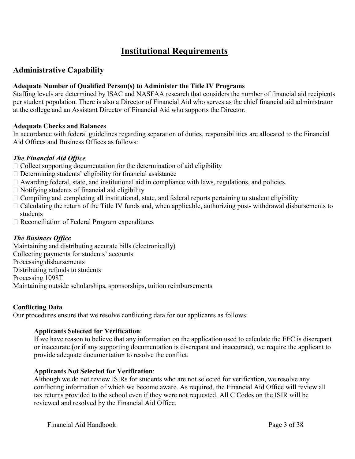## **Institutional Requirements**

## **Administrative Capability**

### **Adequate Number of Qualified Person(s) to Administer the Title IV Programs**

Staffing levels are determined by ISAC and NASFAA research that considers the number of financial aid recipients per student population. There is also a Director of Financial Aid who serves as the chief financial aid administrator at the college and an Assistant Director of Financial Aid who supports the Director.

#### **Adequate Checks and Balances**

In accordance with federal guidelines regarding separation of duties, responsibilities are allocated to the Financial Aid Offices and Business Offices as follows:

#### *The Financial Aid Office*

- $\Box$  Collect supporting documentation for the determination of aid eligibility
- $\Box$  Determining students' eligibility for financial assistance
- $\Box$  Awarding federal, state, and institutional aid in compliance with laws, regulations, and policies.
- $\Box$  Notifying students of financial aid eligibility
- $\Box$  Compiling and completing all institutional, state, and federal reports pertaining to student eligibility
- $\Box$  Calculating the return of the Title IV funds and, when applicable, authorizing post-withdrawal disbursements to students
- $\Box$  Reconciliation of Federal Program expenditures

## *The Business Office*

Maintaining and distributing accurate bills (electronically) Collecting payments for students' accounts Processing disbursements Distributing refunds to students Processing 1098T Maintaining outside scholarships, sponsorships, tuition reimbursements

## **Conflicting Data**

Our procedures ensure that we resolve conflicting data for our applicants as follows:

#### **Applicants Selected for Verification**:

If we have reason to believe that any information on the application used to calculate the EFC is discrepant or inaccurate (or if any supporting documentation is discrepant and inaccurate), we require the applicant to provide adequate documentation to resolve the conflict.

## **Applicants Not Selected for Verification**:

Although we do not review ISIRs for students who are not selected for verification, we resolve any conflicting information of which we become aware. As required, the Financial Aid Office will review all tax returns provided to the school even if they were not requested. All C Codes on the ISIR will be reviewed and resolved by the Financial Aid Office.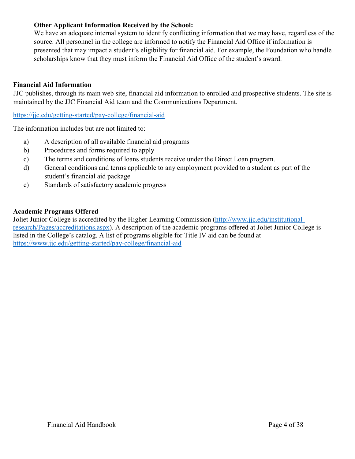## **Other Applicant Information Received by the School:**

We have an adequate internal system to identify conflicting information that we may have, regardless of the source. All personnel in the college are informed to notify the Financial Aid Office if information is presented that may impact a student's eligibility for financial aid. For example, the Foundation who handle scholarships know that they must inform the Financial Aid Office of the student's award.

### **Financial Aid Information**

JJC publishes, through its main web site, financial aid information to enrolled and prospective students. The site is maintained by the JJC Financial Aid team and the Communications Department.

<https://jjc.edu/getting-started/pay-college/financial-aid>

The information includes but are not limited to:

- a) A description of all available financial aid programs
- b) Procedures and forms required to apply
- c) The terms and conditions of loans students receive under the Direct Loan program.
- d) General conditions and terms applicable to any employment provided to a student as part of the student's financial aid package
- e) Standards of satisfactory academic progress

#### **Academic Programs Offered**

Joliet Junior College is accredited by the Higher Learning Commission [\(http://www.jjc.edu/institutional](http://www.jjc.edu/institutional-research/Pages/accreditations.aspx)[research/Pages/accreditations.aspx\)](http://www.jjc.edu/institutional-research/Pages/accreditations.aspx). A description of the academic programs offered at Joliet Junior College is listed in the College's catalog. A list of programs eligible for Title IV aid can be found at <https://www.jjc.edu/getting-started/pay-college/financial-aid>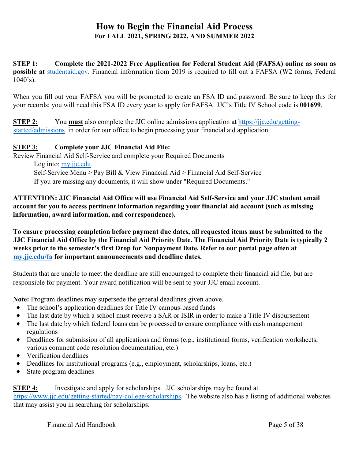## **How to Begin the Financial Aid Process For FALL 2021, SPRING 2022, AND SUMMER 2022**

**STEP 1: Complete the 2021-2022 Free Application for Federal Student Aid (FAFSA) online as soon as possible at** [studentaid.gov.](https://studentaid.gov/h/apply-for-aid/fafsa) Financial information from 2019 is required to fill out a FAFSA (W2 forms, Federal  $1040's$ ).

When you fill out your FAFSA you will be prompted to create an FSA ID and password. Be sure to keep this for your records; you will need this FSA ID every year to apply for FAFSA. JJC's Title IV School code is **001699**.

**STEP 2:** You **must** also complete the JJC online admissions application at [https://jjc.edu/getting](https://jjc.edu/getting-started/admissions)[started/admissions](https://jjc.edu/getting-started/admissions) [i](http://www.jjc.edu/)n order for our office to begin processing your financial aid application.

## **STEP 3: Complete your JJC Financial Aid File:**

Review Financial Aid Self-Service and complete your Required Documents Log into: [my.jjc.edu](http://my.jjc.edu/) Self-Service Menu > Pay Bill & View Financial Aid > Financial Aid Self-Service If you are missing any documents, it will show under "Required Documents."

**ATTENTION: JJC Financial Aid Office will use Financial Aid Self-Service and your JJC student email account for you to access pertinent information regarding your financial aid account (such as missing information, award information, and correspondence).** 

**To ensure processing completion before payment due dates, all requested items must be submitted to the JJC Financial Aid Office by the Financial Aid Priority Date. The Financial Aid Priority Date is typically 2 weeks prior to the semester's first Drop for Nonpayment Date. Refer to our portal page often at [my.jjc.edu/fa](https://my.jjc.edu/student-services/fa/Pages/default.aspx) for important announcements and deadline dates.**

Students that are unable to meet the deadline are still encouraged to complete their financial aid file, but are responsible for payment. Your award notification will be sent to your JJC email account.

**Note:** Program deadlines may supersede the general deadlines given above.

- ♦ The school's application deadlines for Title IV campus-based funds
- ♦ The last date by which a school must receive a SAR or ISIR in order to make a Title IV disbursement
- ♦ The last date by which federal loans can be processed to ensure compliance with cash management regulations
- ♦ Deadlines for submission of all applications and forms (e.g., institutional forms, verification worksheets, various comment code resolution documentation, etc.)
- ♦ Verification deadlines
- ♦ Deadlines for institutional programs (e.g., employment, scholarships, loans, etc.)
- ♦ State program deadlines

**STEP 4:** Investigate and apply for scholarships. JJC scholarships may be found at [https://www.jjc.edu/getting-started/pay-college/scholarships.](https://www.jjc.edu/getting-started/pay-college/scholarships) The website also has a listing of additional websites that may assist you in searching for scholarships.

Financial Aid Handbook Page 5 of 38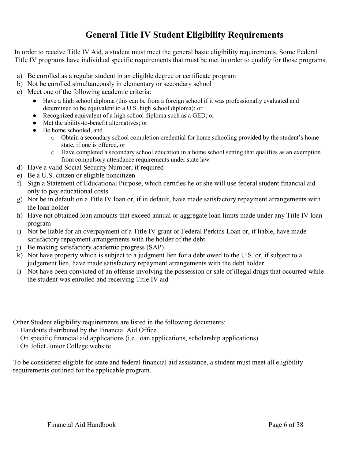## **General Title IV Student Eligibility Requirements**

In order to receive Title IV Aid, a student must meet the general basic eligibility requirements. Some Federal Title IV programs have individual specific requirements that must be met in order to qualify for those programs.

- a) Be enrolled as a regular student in an eligible degree or certificate program
- b) Not be enrolled simultaneously in elementary or secondary school
- c) Meet one of the following academic criteria:
	- Have a high school diploma (this can be from a foreign school if it was professionally evaluated and determined to be equivalent to a U.S. high school diploma); or
	- Recognized equivalent of a high school diploma such as a GED; or
	- Met the ability-to-benefit alternatives; or
	- Be home schooled, and
		- o Obtain a secondary school completion credential for home schooling provided by the student's home state, if one is offered, or
		- o Have completed a secondary school education in a home school setting that qualifies as an exemption from compulsory attendance requirements under state law
- d) Have a valid Social Security Number, if required
- e) Be a U.S. citizen or eligible noncitizen
- f) Sign a Statement of Educational Purpose, which certifies he or she will use federal student financial aid only to pay educational costs
- g) Not be in default on a Title IV loan or, if in default, have made satisfactory repayment arrangements with the loan holder
- h) Have not obtained loan amounts that exceed annual or aggregate loan limits made under any Title IV loan program
- i) Not be liable for an overpayment of a Title IV grant or Federal Perkins Loan or, if liable, have made satisfactory repayment arrangements with the holder of the debt
- j) Be making satisfactory academic progress (SAP)
- k) Not have property which is subject to a judgment lien for a debt owed to the U.S. or, if subject to a judgement lien, have made satisfactory repayment arrangements with the debt holder
- l) Not have been convicted of an offense involving the possession or sale of illegal drugs that occurred while the student was enrolled and receiving Title IV aid

Other Student eligibility requirements are listed in the following documents:

- $\Box$  Handouts distributed by the Financial Aid Office
- $\Box$  On specific financial aid applications (i.e. loan applications, scholarship applications)
- □ On Joliet Junior College website

To be considered eligible for state and federal financial aid assistance, a student must meet all eligibility requirements outlined for the applicable program.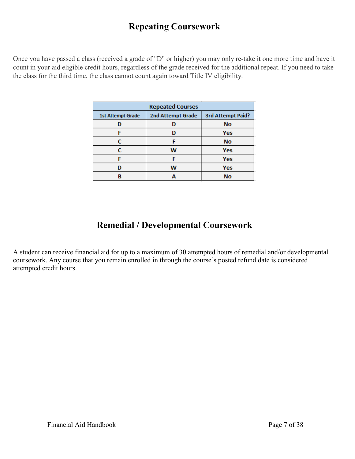## **Repeating Coursework**

Once you have passed a class (received a grade of "D" or higher) you may only re-take it one more time and have it count in your aid eligible credit hours, regardless of the grade received for the additional repeat. If you need to take the class for the third time, the class cannot count again toward Title IV eligibility.

| <b>Repeated Courses</b>                                            |   |            |  |
|--------------------------------------------------------------------|---|------------|--|
| 2nd Attempt Grade<br>3rd Attempt Paid?<br><b>1st Attempt Grade</b> |   |            |  |
|                                                                    |   | <b>No</b>  |  |
| F                                                                  | n | Yes        |  |
| c                                                                  | с | <b>No</b>  |  |
| c                                                                  | w | <b>Yes</b> |  |
|                                                                    |   | Yes        |  |
| D                                                                  | w | Yes        |  |
| R                                                                  |   | <b>No</b>  |  |

# **Remedial / Developmental Coursework**

A student can receive financial aid for up to a maximum of 30 attempted hours of remedial and/or developmental coursework. Any course that you remain enrolled in through the course's posted refund date is considered attempted credit hours.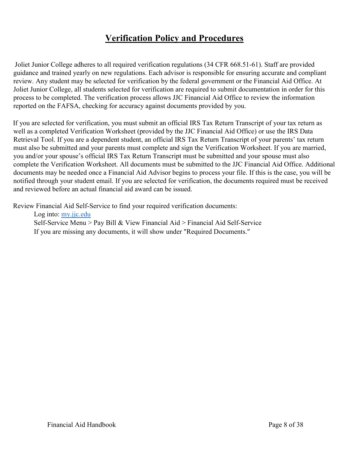## **Verification Policy and Procedures**

Joliet Junior College adheres to all required verification regulations (34 CFR 668.51-61). Staff are provided guidance and trained yearly on new regulations. Each advisor is responsible for ensuring accurate and compliant review. Any student may be selected for verification by the federal government or the Financial Aid Office. At Joliet Junior College, all students selected for verification are required to submit documentation in order for this process to be completed. The verification process allows JJC Financial Aid Office to review the information reported on the FAFSA, checking for accuracy against documents provided by you.

If you are selected for verification, you must submit an official IRS Tax Return Transcript of your tax return as well as a completed Verification Worksheet (provided by the JJC Financial Aid Office) or use the IRS Data Retrieval Tool. If you are a dependent student, an official IRS Tax Return Transcript of your parents' tax return must also be submitted and your parents must complete and sign the Verification Worksheet. If you are married, you and/or your spouse's official IRS Tax Return Transcript must be submitted and your spouse must also complete the Verification Worksheet. All documents must be submitted to the JJC Financial Aid Office. Additional documents may be needed once a Financial Aid Advisor begins to process your file. If this is the case, you will be notified through your student email. If you are selected for verification, the documents required must be received and reviewed before an actual financial aid award can be issued.

Review Financial Aid Self-Service to find your required verification documents:

Log into: [my.jjc.edu](http://my.jjc.edu/) Self-Service Menu > Pay Bill & View Financial Aid > Financial Aid Self-Service If you are missing any documents, it will show under "Required Documents."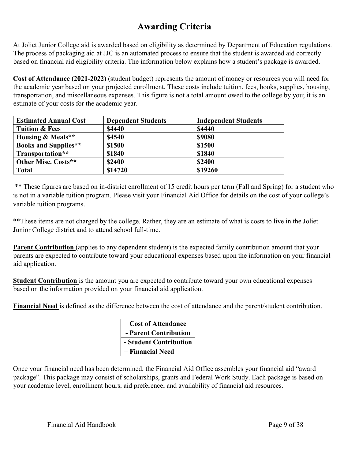## **Awarding Criteria**

At Joliet Junior College aid is awarded based on eligibility as determined by Department of Education regulations. The process of packaging aid at JJC is an automated process to ensure that the student is awarded aid correctly based on financial aid eligibility criteria. The information below explains how a student's package is awarded.

**Cost of Attendance (2021-2022)** (student budget) represents the amount of money or resources you will need for the academic year based on your projected enrollment. These costs include tuition, fees, books, supplies, housing, transportation, and miscellaneous expenses. This figure is not a total amount owed to the college by you; it is an estimate of your costs for the academic year.

| <b>Estimated Annual Cost</b> | <b>Dependent Students</b> | <b>Independent Students</b> |
|------------------------------|---------------------------|-----------------------------|
| <b>Tuition &amp; Fees</b>    | <b>\$4440</b>             | \$4440                      |
| <b>Housing &amp; Meals**</b> | \$4540                    | <b>\$9080</b>               |
| <b>Books and Supplies**</b>  | \$1500                    | \$1500                      |
| Transportation**             | \$1840                    | \$1840                      |
| Other Misc. Costs**          | \$2400                    | <b>\$2400</b>               |
| <b>Total</b>                 | \$14720                   | \$19260                     |

\*\* These figures are based on in-district enrollment of 15 credit hours per term (Fall and Spring) for a student who is not in a variable tuition program. Please visit your Financial Aid Office for details on the cost of your college's variable tuition programs.

\*\*These items are not charged by the college. Rather, they are an estimate of what is costs to live in the Joliet Junior College district and to attend school full-time.

**Parent Contribution** (applies to any dependent student) is the expected family contribution amount that your parents are expected to contribute toward your educational expenses based upon the information on your financial aid application.

**Student Contribution** is the amount you are expected to contribute toward your own educational expenses based on the information provided on your financial aid application.

**Financial Need** is defined as the difference between the cost of attendance and the parent/student contribution.

| <b>Cost of Attendance</b> |
|---------------------------|
| - Parent Contribution     |
| - Student Contribution    |
| = Financial Need          |

Once your financial need has been determined, the Financial Aid Office assembles your financial aid "award package". This package may consist of scholarships, grants and Federal Work Study. Each package is based on your academic level, enrollment hours, aid preference, and availability of financial aid resources.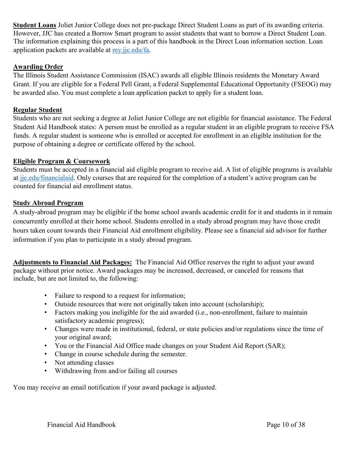**Student Loans** Joliet Junior College does not pre-package Direct Student Loans as part of its awarding criteria. However, JJC has created a Borrow Smart program to assist students that want to borrow a Direct Student Loan. The information explaining this process is a part of this handbook in the Direct Loan information section. Loan application packets are available at [my.jjc.edu/fa.](https://my.jjc.edu/student-services/fa/Pages/default.aspx)

## **Awarding Order**

The Illinois Student Assistance Commission (ISAC) awards all eligible Illinois residents the Monetary Award Grant. If you are eligible for a Federal Pell Grant, a Federal Supplemental Educational Opportunity (FSEOG) may be awarded also. You must complete a loan application packet to apply for a student loan.

## **Regular Student**

Students who are not seeking a degree at Joliet Junior College are not eligible for financial assistance. The Federal Student Aid Handbook states: A person must be enrolled as a regular student in an eligible program to receive FSA funds. A regular student is someone who is enrolled or accepted for enrollment in an eligible institution for the purpose of obtaining a degree or certificate offered by the school.

## **Eligible Program & Coursework**

Students must be accepted in a financial aid eligible program to receive aid. A list of eligible programs is available at [jjc.edu/financialaid.](https://www.jjc.edu/getting-started/pay-college/financial-aid) Only courses that are required for the completion of a student's active program can be counted for financial aid enrollment status.

#### **Study Abroad Program**

A study-abroad program may be eligible if the home school awards academic credit for it and students in it remain concurrently enrolled at their home school. Students enrolled in a study abroad program may have those credit hours taken count towards their Financial Aid enrollment eligibility. Please see a financial aid advisor for further information if you plan to participate in a study abroad program.

**Adjustments to Financial Aid Packages:** The Financial Aid Office reserves the right to adjust your award package without prior notice. Award packages may be increased, decreased, or canceled for reasons that include, but are not limited to, the following:

- Failure to respond to a request for information;
- Outside resources that were not originally taken into account (scholarship);
- Factors making you ineligible for the aid awarded (i.e., non-enrollment, failure to maintain satisfactory academic progress);
- Changes were made in institutional, federal, or state policies and/or regulations since the time of your original award;
- You or the Financial Aid Office made changes on your Student Aid Report (SAR);
- Change in course schedule during the semester.
- Not attending classes
- Withdrawing from and/or failing all courses

You may receive an email notification if your award package is adjusted.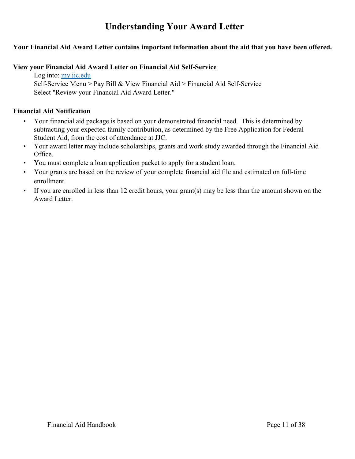## **Understanding Your Award Letter**

## <span id="page-10-0"></span>**Your Financial Aid Award Letter contains important information about the aid that you have been offered.**

## **View your Financial Aid Award Letter on Financial Aid Self-Service**

Log into: [my.jjc.edu](http://my.jjc.edu/) Self-Service Menu > Pay Bill & View Financial Aid > Financial Aid Self-Service Select "Review your Financial Aid Award Letter."

## **Financial Aid Notification**

- Your financial aid package is based on your demonstrated financial need. This is determined by subtracting your expected family contribution, as determined by the Free Application for Federal Student Aid, from the cost of attendance at JJC.
- Your award letter may include scholarships, grants and work study awarded through the Financial Aid Office.
- You must complete a loan application packet to apply for a student loan.
- Your grants are based on the review of your complete financial aid file and estimated on full-time enrollment.
- If you are enrolled in less than 12 credit hours, your grant(s) may be less than the amount shown on the Award Letter.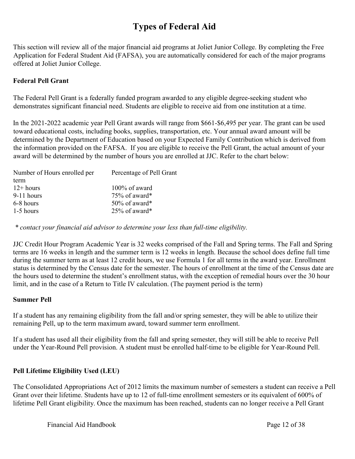# **Types of Federal Aid**

This section will review all of the major financial aid programs at Joliet Junior College. By completing the Free Application for Federal Student Aid (FAFSA), you are automatically considered for each of the major programs offered at Joliet Junior College.

## **Federal Pell Grant**

The Federal Pell Grant is a federally funded program awarded to any eligible degree-seeking student who demonstrates significant financial need. Students are eligible to receive aid from one institution at a time.

In the 2021-2022 academic year Pell Grant awards will range from \$661-\$6,495 per year. The grant can be used toward educational costs, including books, supplies, transportation, etc. Your annual award amount will be determined by the Department of Education based on your Expected Family Contribution which is derived from the information provided on the FAFSA. If you are eligible to receive the Pell Grant, the actual amount of your award will be determined by the number of hours you are enrolled at JJC. Refer to the chart below:

| Number of Hours enrolled per | Percentage of Pell Grant |
|------------------------------|--------------------------|
| term                         |                          |
| $12+ hours$                  | $100\%$ of award         |
| $9-11$ hours                 | 75% of award*            |
| 6-8 hours                    | $50\%$ of award*         |
| 1-5 hours                    | 25% of award*            |
|                              |                          |

*\* contact your financial aid advisor to determine your less than full-time eligibility.*

JJC Credit Hour Program Academic Year is 32 weeks comprised of the Fall and Spring terms. The Fall and Spring terms are 16 weeks in length and the summer term is 12 weeks in length. Because the school does define full time during the summer term as at least 12 credit hours, we use Formula 1 for all terms in the award year. Enrollment status is determined by the Census date for the semester. The hours of enrollment at the time of the Census date are the hours used to determine the student's enrollment status, with the exception of remedial hours over the 30 hour limit, and in the case of a Return to Title IV calculation. (The payment period is the term)

## **Summer Pell**

If a student has any remaining eligibility from the fall and/or spring semester, they will be able to utilize their remaining Pell, up to the term maximum award, toward summer term enrollment.

If a student has used all their eligibility from the fall and spring semester, they will still be able to receive Pell under the Year-Round Pell provision. A student must be enrolled half-time to be eligible for Year-Round Pell.

## **Pell Lifetime Eligibility Used (LEU)**

The Consolidated Appropriations Act of 2012 limits the maximum number of semesters a student can receive a Pell Grant over their lifetime. Students have up to 12 of full-time enrollment semesters or its equivalent of 600% of lifetime Pell Grant eligibility. Once the maximum has been reached, students can no longer receive a Pell Grant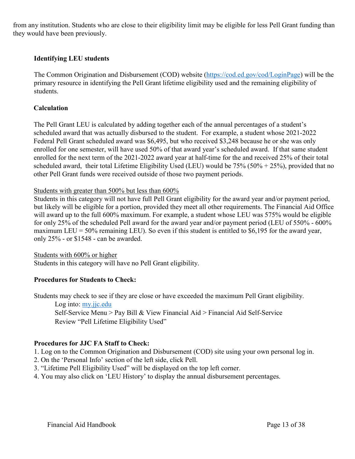from any institution. Students who are close to their eligibility limit may be eligible for less Pell Grant funding than they would have been previously.

### **Identifying LEU students**

The Common Origination and Disbursement (COD) website [\(https://cod.ed.gov/cod/LoginPage\)](https://cod.ed.gov/cod/LoginPage) will be the primary resource in identifying the Pell Grant lifetime eligibility used and the remaining eligibility of students.

#### **Calculation**

The Pell Grant LEU is calculated by adding together each of the annual percentages of a student's scheduled award that was actually disbursed to the student. For example, a student whose 2021-2022 Federal Pell Grant scheduled award was \$6,495, but who received \$3,248 because he or she was only enrolled for one semester, will have used 50% of that award year's scheduled award. If that same student enrolled for the next term of the 2021-2022 award year at half-time for the and received 25% of their total scheduled award, their total Lifetime Eligibility Used (LEU) would be  $75\%$  ( $50\% + 25\%$ ), provided that no other Pell Grant funds were received outside of those two payment periods.

#### Students with greater than 500% but less than 600%

Students in this category will not have full Pell Grant eligibility for the award year and/or payment period, but likely will be eligible for a portion, provided they meet all other requirements. The Financial Aid Office will award up to the full 600% maximum. For example, a student whose LEU was 575% would be eligible for only 25% of the scheduled Pell award for the award year and/or payment period (LEU of 550% - 600% maximum LEU = 50% remaining LEU). So even if this student is entitled to \$6,195 for the award year, only 25% - or \$1548 - can be awarded.

#### Students with 600% or higher

Students in this category will have no Pell Grant eligibility.

#### **Procedures for Students to Check:**

Students may check to see if they are close or have exceeded the maximum Pell Grant eligibility.

Log into: [my.jjc.edu](http://my.jjc.edu/)

Self-Service Menu > Pay Bill & View Financial Aid > Financial Aid Self-Service Review "Pell Lifetime Eligibility Used"

#### **Procedures for JJC FA Staff to Check:**

1. Log on to the Common Origination and Disbursement (COD) site using your own personal log in.

- 2. On the 'Personal Info' section of the left side, click Pell.
- 3. "Lifetime Pell Eligibility Used" will be displayed on the top left corner.
- 4. You may also click on 'LEU History' to display the annual disbursement percentages.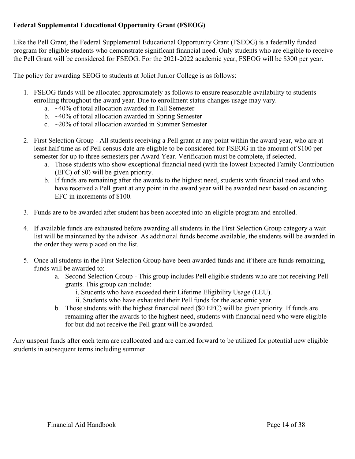## **Federal Supplemental Educational Opportunity Grant (FSEOG)**

Like the Pell Grant, the Federal Supplemental Educational Opportunity Grant (FSEOG) is a federally funded program for eligible students who demonstrate significant financial need. Only students who are eligible to receive the Pell Grant will be considered for FSEOG. For the 2021-2022 academic year, FSEOG will be \$300 per year.

The policy for awarding SEOG to students at Joliet Junior College is as follows:

- 1. FSEOG funds will be allocated approximately as follows to ensure reasonable availability to students enrolling throughout the award year. Due to enrollment status changes usage may vary.
	- a. ~40% of total allocation awarded in Fall Semester
	- b.  $\sim$ 40% of total allocation awarded in Spring Semester
	- c.  $\approx$  20% of total allocation awarded in Summer Semester
- 2. First Selection Group All students receiving a Pell grant at any point within the award year, who are at least half time as of Pell census date are eligible to be considered for FSEOG in the amount of \$100 per semester for up to three semesters per Award Year. Verification must be complete, if selected.
	- a. Those students who show exceptional financial need (with the lowest Expected Family Contribution (EFC) of \$0) will be given priority.
	- b. If funds are remaining after the awards to the highest need, students with financial need and who have received a Pell grant at any point in the award year will be awarded next based on ascending EFC in increments of \$100.
- 3. Funds are to be awarded after student has been accepted into an eligible program and enrolled.
- 4. If available funds are exhausted before awarding all students in the First Selection Group category a wait list will be maintained by the advisor. As additional funds become available, the students will be awarded in the order they were placed on the list.
- 5. Once all students in the First Selection Group have been awarded funds and if there are funds remaining, funds will be awarded to:
	- a. Second Selection Group This group includes Pell eligible students who are not receiving Pell grants. This group can include:
		- i. Students who have exceeded their Lifetime Eligibility Usage (LEU).
		- ii. Students who have exhausted their Pell funds for the academic year.
	- b. Those students with the highest financial need (\$0 EFC) will be given priority. If funds are remaining after the awards to the highest need, students with financial need who were eligible for but did not receive the Pell grant will be awarded.

Any unspent funds after each term are reallocated and are carried forward to be utilized for potential new eligible students in subsequent terms including summer.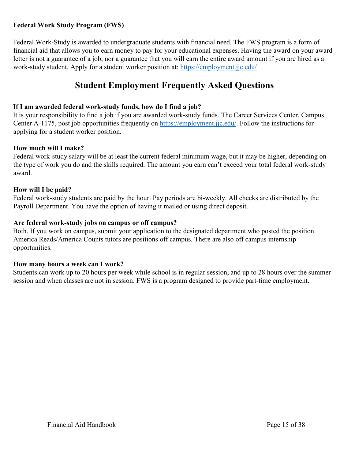## **Federal Work Study Program (FWS)**

Federal Work-Study is awarded to undergraduate students with financial need. The FWS program is a form of financial aid that allows you to earn money to pay for your educational expenses. Having the award on your award letter is not a guarantee of a job, nor a guarantee that you will earn the entire award amount if you are hired as a work-study student. Apply for a student worker position at:<https://employment.jjc.edu/>

## **Student Employment Frequently Asked Questions**

## **If I am awarded federal work-study funds, how do I find a job?**

It is your responsibility to find a job if you are awarded work-study funds. The Career Services Center, Campus Center A-1175, post job opportunities frequently on [https://employment.jjc.edu/.](https://employment.jjc.edu/) Follow the instructions for applying for a student worker position.

## **How much will I make?**

Federal work-study salary will be at least the current federal minimum wage, but it may be higher, depending on the type of work you do and the skills required. The amount you earn can't exceed your total federal work-study award.

#### **How will I be paid?**

Federal work-study students are paid by the hour. Pay periods are bi-weekly. All checks are distributed by the Payroll Department. You have the option of having it mailed or using direct deposit.

#### **Are federal work-study jobs on campus or off campus?**

Both. If you work on campus, submit your application to the designated department who posted the position. America Reads/America Counts tutors are positions off campus. There are also off campus internship opportunities.

## **How many hours a week can I work?**

Students can work up to 20 hours per week while school is in regular session, and up to 28 hours over the summer session and when classes are not in session. FWS is a program designed to provide part-time employment.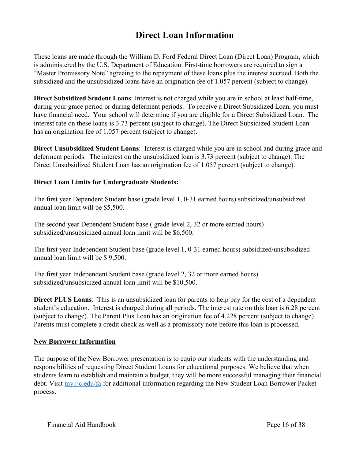## **Direct Loan Information**

These loans are made through the William D. Ford Federal Direct Loan (Direct Loan) Program, which is administered by the U.S. Department of Education. First-time borrowers are required to sign a "Master Promissory Note" agreeing to the repayment of these loans plus the interest accrued. Both the subsidized and the unsubsidized loans have an origination fee of 1.057 percent (subject to change).

**Direct Subsidized Student Loans**: Interest is not charged while you are in school at least half-time, during your grace period or during deferment periods. To receive a Direct Subsidized Loan, you must have financial need. Your school will determine if you are eligible for a Direct Subsidized Loan. The interest rate on these loans is 3.73 percent (subject to change). The Direct Subsidized Student Loan has an origination fee of 1.057 percent (subject to change).

**Direct Unsubsidized Student Loans**: Interest is charged while you are in school and during grace and deferment periods. The interest on the unsubsidized loan is 3.73 percent (subject to change). The Direct Unsubsidized Student Loan has an origination fee of 1.057 percent (subject to change).

## **Direct Loan Limits for Undergraduate Students:**

The first year Dependent Student base (grade level 1, 0-31 earned hours) subsidized/unsubsidized annual loan limit will be \$5,500.

The second year Dependent Student base ( grade level 2, 32 or more earned hours) subsidized/unsubsidized annual loan limit will be \$6,500.

The first year Independent Student base (grade level 1, 0-31 earned hours) subsidized/unsubsidized annual loan limit will be \$ 9,500.

The first year Independent Student base (grade level 2, 32 or more earned hours) subsidized/unsubsidized annual loan limit will be \$10,500.

**Direct PLUS Loans**: This is an unsubsidized loan for parents to help pay for the cost of a dependent student's education. Interest is charged during all periods. The interest rate on this loan is 6.28 percent (subject to change). The Parent Plus Loan has an origination fee of 4.228 percent (subject to change). Parents must complete a credit check as well as a promissory note before this loan is processed.

## **New Borrower Information**

The purpose of the New Borrower presentation is to equip our students with the understanding and responsibilities of requesting Direct Student Loans for educational purposes. We believe that when students learn to establish and maintain a budget, they will be more successful managing their financial debt. Visit [my.jjc.edu/fa](https://my.jjc.edu/student-services/fa/Pages/default.aspx) for additional information regarding the New Student Loan Borrower Packet process.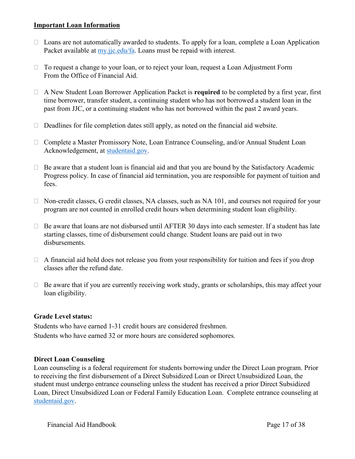#### **Important Loan Information**

- $\Box$  Loans are not automatically awarded to students. To apply for a loan, complete a Loan Application Packet available at [my.jjc.edu/fa.](https://my.jjc.edu/student-services/fa/Pages/default.aspx) Loans must be repaid with interest.
- $\Box$  To request a change to your loan, or to reject your loan, request a Loan Adjustment Form From the Office of Financial Aid.
- ⮚ A New Student Loan Borrower Application Packet is **required** to be completed by a first year, first time borrower, transfer student, a continuing student who has not borrowed a student loan in the past from JJC, or a continuing student who has not borrowed within the past 2 award years.
- $\Box$  Deadlines for file completion dates still apply, as noted on the financial aid website.
- □ Complete a Master Promissory Note, Loan Entrance Counseling, and/or Annual Student Loan Acknowledgement, at [studentaid.gov.](https://studentaid.gov/mpn/)
- $\Box$  Be aware that a student loan is financial aid and that you are bound by the Satisfactory Academic Progress policy. In case of financial aid termination, you are responsible for payment of tuition and fees.
- $\Box$  Non-credit classes, G credit classes, NA classes, such as NA 101, and courses not required for your program are not counted in enrolled credit hours when determining student loan eligibility.
- $\Box$  Be aware that loans are not disbursed until AFTER 30 days into each semester. If a student has late starting classes, time of disbursement could change. Student loans are paid out in two disbursements.
- $\Box$  A financial aid hold does not release you from your responsibility for tuition and fees if you drop classes after the refund date.
- $\Box$  Be aware that if you are currently receiving work study, grants or scholarships, this may affect your loan eligibility.

## **Grade Level status:**

Students who have earned 1-31 credit hours are considered freshmen. Students who have earned 32 or more hours are considered sophomores.

## **Direct Loan Counseling**

Loan counseling is a federal requirement for students borrowing under the Direct Loan program. Prior to receiving the first disbursement of a Direct Subsidized Loan or Direct Unsubsidized Loan, the student must undergo entrance counseling unless the student has received a prior Direct Subsidized Loan, Direct Unsubsidized Loan or Federal Family Education Loan. Complete entrance counseling at [studentaid.gov.](https://studentaid.gov/app/counselingInstructions.action?counselingType=entrance)

Financial Aid Handbook Page 17 of 38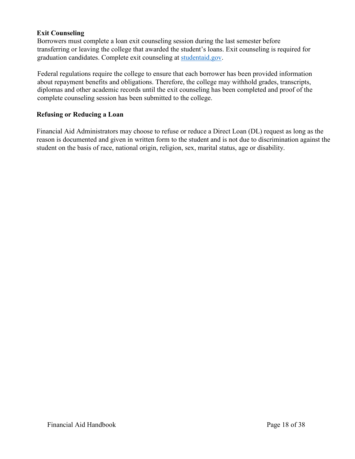## **Exit Counseling**

Borrowers must complete a loan exit counseling session during the last semester before transferring or leaving the college that awarded the student's loans. Exit counseling is required for graduation candidates. Complete exit counseling at [studentaid.gov.](https://studentaid.gov/app/counselingInstructions.action?counselingType=entrance)

Federal regulations require the college to ensure that each borrower has been provided information about repayment benefits and obligations. Therefore, the college may withhold grades, transcripts, diplomas and other academic records until the exit counseling has been completed and proof of the complete counseling session has been submitted to the college.

## **Refusing or Reducing a Loan**

Financial Aid Administrators may choose to refuse or reduce a Direct Loan (DL) request as long as the reason is documented and given in written form to the student and is not due to discrimination against the student on the basis of race, national origin, religion, sex, marital status, age or disability.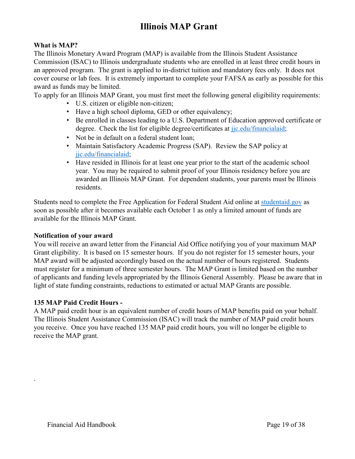# **Illinois MAP Grant**

## <span id="page-18-0"></span>**What is MAP?**

The Illinois Monetary Award Program (MAP) is available from the Illinois Student Assistance Commission (ISAC) to Illinois undergraduate students who are enrolled in at least three credit hours in an approved program. The grant is applied to in-district tuition and mandatory fees only. It does not cover course or lab fees. It is extremely important to complete your FAFSA as early as possible for this award as funds may be limited.

To apply for an Illinois MAP Grant, you must first meet the following general eligibility requirements:

- U.S. citizen or eligible non-citizen;
- Have a high school diploma, GED or other equivalency;
- Be enrolled in classes leading to a U.S. Department of Education approved certificate or degree. Check the list for eligible degree/certificates at [jjc.edu/financialaid;](https://www.jjc.edu/getting-started/pay-college/financial-aid)
- Not be in default on a federal student loan;
- Maintain Satisfactory Academic Progress (SAP). Review the SAP policy at [jjc.edu/financialaid;](https://www.jjc.edu/getting-started/pay-college/financial-aid)
- Have resided in Illinois for at least one year prior to the start of the academic school year. You may be required to submit proof of your Illinois residency before you are awarded an Illinois MAP Grant. For dependent students, your parents must be Illinois residents.

Students need to complete the Free Application for Federal Student Aid online at [studentaid.gov](https://fafsa.ed.gov/) [a](https://fafsa.ed.gov/)s soon as possible after it becomes available each October 1 as only a limited amount of funds are available for the Illinois MAP Grant.

## **Notification of your award**

You will receive an award letter from the Financial Aid Office notifying you of your maximum MAP Grant eligibility. It is based on 15 semester hours. If you do not register for 15 semester hours, your MAP award will be adjusted accordingly based on the actual number of hours registered. Students must register for a minimum of three semester hours. The MAP Grant is limited based on the number of applicants and funding levels appropriated by the Illinois General Assembly. Please be aware that in light of state funding constraints, reductions to estimated or actual MAP Grants are possible.

## **135 MAP Paid Credit Hours -**

A MAP paid credit hour is an equivalent number of credit hours of MAP benefits paid on your behalf. The Illinois Student Assistance Commission (ISAC) will track the number of MAP paid credit hours you receive. Once you have reached 135 MAP paid credit hours, you will no longer be eligible to receive the MAP grant.

.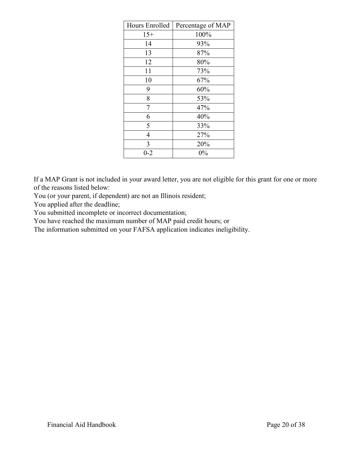| Hours Enrolled | Percentage of MAP |
|----------------|-------------------|
| $15+$          | 100%              |
| 14             | 93%               |
| 13             | 87%               |
| 12             | 80%               |
| 11             | 73%               |
| 10             | 67%               |
| 9              | 60%               |
| 8              | 53%               |
| 7              | 47%               |
| 6              | 40%               |
| 5              | 33%               |
| $\overline{4}$ | 27%               |
| 3              | 20%               |
| $0 - 2$        | $0\%$             |

If a MAP Grant is not included in your award letter, you are not eligible for this grant for one or more of the reasons listed below:

You (or your parent, if dependent) are not an Illinois resident;

You applied after the deadline;

You submitted incomplete or incorrect documentation;

You have reached the maximum number of MAP paid credit hours; or

The information submitted on your FAFSA application indicates ineligibility.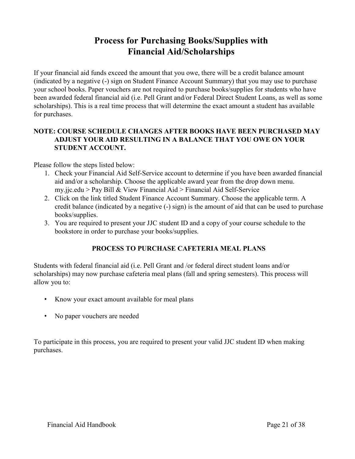## **Process for Purchasing Books/Supplies with Financial Aid/Scholarships**

<span id="page-20-0"></span>If your financial aid funds exceed the amount that you owe, there will be a credit balance amount (indicated by a negative (-) sign on Student Finance Account Summary) that you may use to purchase your school books. Paper vouchers are not required to purchase books/supplies for students who have been awarded federal financial aid (i.e. Pell Grant and/or Federal Direct Student Loans, as well as some scholarships). This is a real time process that will determine the exact amount a student has available for purchases.

## **NOTE: COURSE SCHEDULE CHANGES AFTER BOOKS HAVE BEEN PURCHASED MAY ADJUST YOUR AID RESULTING IN A BALANCE THAT YOU OWE ON YOUR STUDENT ACCOUNT.**

Please follow the steps listed below:

- 1. Check your Financial Aid Self-Service account to determine if you have been awarded financial aid and/or a scholarship. Choose the applicable award year from the drop down menu. my.jjc.edu > Pay Bill & View Financial Aid > Financial Aid Self-Service
- 2. Click on the link titled Student Finance Account Summary. Choose the applicable term. A credit balance (indicated by a negative (-) sign) is the amount of aid that can be used to purchase books/supplies.
- 3. You are required to present your JJC student ID and a copy of your course schedule to the bookstore in order to purchase your books/supplies.

## **PROCESS TO PURCHASE CAFETERIA MEAL PLANS**

Students with federal financial aid (i.e. Pell Grant and /or federal direct student loans and/or scholarships) may now purchase cafeteria meal plans (fall and spring semesters). This process will allow you to:

- Know your exact amount available for meal plans
- No paper vouchers are needed

To participate in this process, you are required to present your valid JJC student ID when making purchases.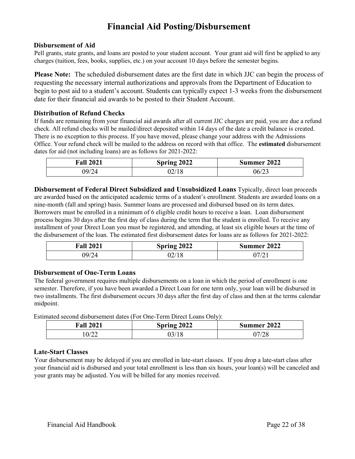## **Financial Aid Posting/Disbursement**

#### <span id="page-21-0"></span>**Disbursement of Aid**

Pell grants, state grants, and loans are posted to your student account. Your grant aid will first be applied to any charges (tuition, fees, books, supplies, etc.) on your account 10 days before the semester begins.

**Please Note:** The scheduled disbursement dates are the first date in which JJC can begin the process of requesting the necessary internal authorizations and approvals from the Department of Education to begin to post aid to a student's account. Students can typically expect 1-3 weeks from the disbursement date for their financial aid awards to be posted to their Student Account.

#### **Distribution of Refund Checks**

If funds are remaining from your financial aid awards after all current JJC charges are paid, you are due a refund check. All refund checks will be mailed/direct deposited within 14 days of the date a credit balance is created. There is no exception to this process. If you have moved, please change your address with the Admissions Office. Your refund check will be mailed to the address on record with that office. The **estimated** disbursement dates for aid (not including loans) are as follows for 2021-2022:

| <b>Fall 2021</b> | Spring 2022 | Summer 2022 |
|------------------|-------------|-------------|
| )9/24            | U∠/ I ຽ     | 06/23       |

**Disbursement of Federal Direct Subsidized and Unsubsidized Loans** Typically, direct loan proceeds are awarded based on the anticipated academic terms of a student's enrollment. Students are awarded loans on a nine-month (fall and spring) basis. Summer loans are processed and disbursed based on its term dates. Borrowers must be enrolled in a minimum of 6 eligible credit hours to receive a loan. Loan disbursement process begins 30 days after the first day of class during the term that the student is enrolled. To receive any installment of your Direct Loan you must be registered, and attending, at least six eligible hours at the time of the disbursement of the loan. The estimated first disbursement dates for loans are as follows for 2021-2022:

| <b>Fall 2021</b> | Spring 2022 | Summer 2022 |
|------------------|-------------|-------------|
| 09/24            | 02/18       | 17/21       |

#### **Disbursement of One-Term Loans**

The federal government requires multiple disbursements on a loan in which the period of enrollment is one semester. Therefore, if you have been awarded a Direct Loan for one term only, your loan will be disbursed in two installments. The first disbursement occurs 30 days after the first day of class and then at the terms calendar midpoint.

Estimated second disbursement dates (For One-Term Direct Loans Only):

| <b>Fall 2021</b> | Spring 2022 | Summer 2022         |
|------------------|-------------|---------------------|
| 0/22             | J3/         | 77/70<br>$\angle 0$ |

#### **Late-Start Classes**

Your disbursement may be delayed if you are enrolled in late-start classes. If you drop a late-start class after your financial aid is disbursed and your total enrollment is less than six hours, your loan(s) will be canceled and your grants may be adjusted. You will be billed for any monies received.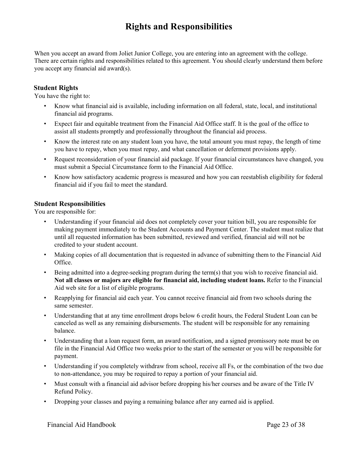## **Rights and Responsibilities**

<span id="page-22-0"></span>When you accept an award from Joliet Junior College, you are entering into an agreement with the college. There are certain rights and responsibilities related to this agreement. You should clearly understand them before you accept any financial aid award(s).

#### **Student Rights**

You have the right to:

- Know what financial aid is available, including information on all federal, state, local, and institutional financial aid programs.
- Expect fair and equitable treatment from the Financial Aid Office staff. It is the goal of the office to assist all students promptly and professionally throughout the financial aid process.
- Know the interest rate on any student loan you have, the total amount you must repay, the length of time you have to repay, when you must repay, and what cancellation or deferment provisions apply.
- Request reconsideration of your financial aid package. If your financial circumstances have changed, you must submit a Special Circumstance form to the Financial Aid Office.
- Know how satisfactory academic progress is measured and how you can reestablish eligibility for federal financial aid if you fail to meet the standard.

#### **Student Responsibilities**

You are responsible for:

- Understanding if your financial aid does not completely cover your tuition bill, you are responsible for making payment immediately to the Student Accounts and Payment Center. The student must realize that until all requested information has been submitted, reviewed and verified, financial aid will not be credited to your student account.
- Making copies of all documentation that is requested in advance of submitting them to the Financial Aid Office.
- Being admitted into a degree-seeking program during the term(s) that you wish to receive financial aid. **Not all classes or majors are eligible for financial aid, including student loans.** Refer to the Financial Aid web site for a list of eligible programs.
- Reapplying for financial aid each year. You cannot receive financial aid from two schools during the same semester.
- Understanding that at any time enrollment drops below 6 credit hours, the Federal Student Loan can be canceled as well as any remaining disbursements. The student will be responsible for any remaining balance.
- Understanding that a loan request form, an award notification, and a signed promissory note must be on file in the Financial Aid Office two weeks prior to the start of the semester or you will be responsible for payment.
- Understanding if you completely withdraw from school, receive all Fs, or the combination of the two due to non-attendance, you may be required to repay a portion of your financial aid.
- Must consult with a financial aid advisor before dropping his/her courses and be aware of the Title IV Refund Policy.
- Dropping your classes and paying a remaining balance after any earned aid is applied.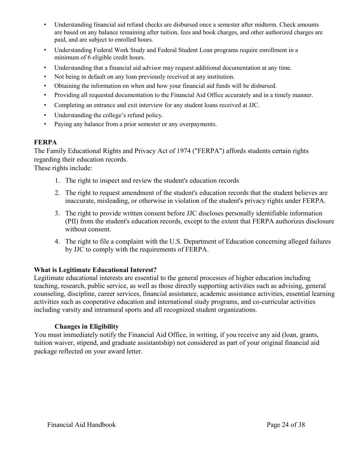- Understanding financial aid refund checks are disbursed once a semester after midterm. Check amounts are based on any balance remaining after tuition, fees and book charges, and other authorized charges are paid, and are subject to enrolled hours.
- Understanding Federal Work Study and Federal Student Loan programs require enrollment in a minimum of 6 eligible credit hours.
- Understanding that a financial aid advisor may request additional documentation at any time.
- Not being in default on any loan previously received at any institution.
- Obtaining the information on when and how your financial aid funds will be disbursed.
- Providing all requested documentation to the Financial Aid Office accurately and in a timely manner.
- Completing an entrance and exit interview for any student loans received at JJC.
- Understanding the college's refund policy.
- Paying any balance from a prior semester or any overpayments.

#### **FERPA**

The Family Educational Rights and Privacy Act of 1974 ("FERPA") affords students certain rights regarding their education records.

These rights include:

- 1. The right to inspect and review the student's education records
- 2. The right to request amendment of the student's education records that the student believes are inaccurate, misleading, or otherwise in violation of the student's privacy rights under FERPA.
- 3. The right to provide written consent before JJC discloses personally identifiable information (PII) from the student's education records, except to the extent that FERPA authorizes disclosure without consent.
- 4. The right to file a complaint with the U.S. Department of Education concerning alleged failures by JJC to comply with the requirements of FERPA.

## **What is Legitimate Educational Interest?**

Legitimate educational interests are essential to the general processes of higher education including teaching, research, public service, as well as those directly supporting activities such as advising, general counseling, discipline, career services, financial assistance, academic assistance activities, essential learning activities such as cooperative education and international study programs, and co-curricular activities including varsity and intramural sports and all recognized student organizations.

#### **Changes in Eligibility**

You must immediately notify the Financial Aid Office, in writing, if you receive any aid (loan, grants, tuition waiver, stipend, and graduate assistantship) not considered as part of your original financial aid package reflected on your award letter.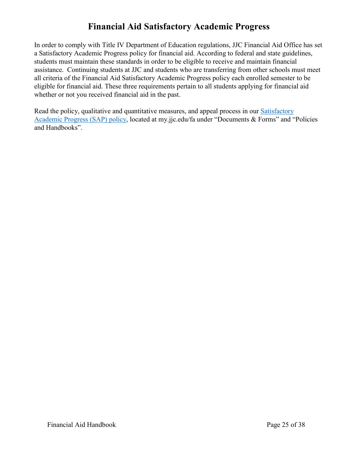## **Financial Aid Satisfactory Academic Progress**

<span id="page-24-0"></span>In order to comply with Title IV Department of Education regulations, JJC Financial Aid Office has set a Satisfactory Academic Progress policy for financial aid. According to federal and state guidelines, students must maintain these standards in order to be eligible to receive and maintain financial assistance. Continuing students at JJC and students who are transferring from other schools must meet all criteria of the Financial Aid Satisfactory Academic Progress policy each enrolled semester to be eligible for financial aid. These three requirements pertain to all students applying for financial aid whether or not you received financial aid in the past.

Read the policy, qualitative and quantitative measures, and appeal process in our **Satisfactory** [Academic Progress \(SAP\) policy,](https://my.jjc.edu/student-services/fa/Documents/Satisfactory%20Academic%20Progress%20(SAP)%20Policy.pdf) located at my.jjc.edu/fa under "Documents & Forms" and "Policies and Handbooks".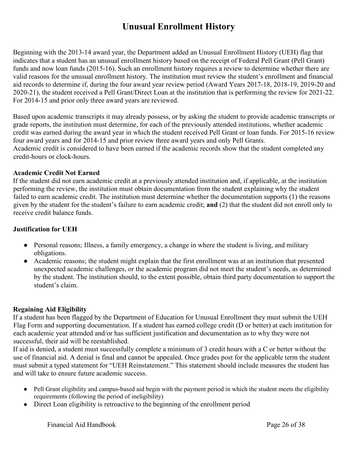## **Unusual Enrollment History**

Beginning with the 2013-14 award year, the Department added an Unusual Enrollment History (UEH) flag that indicates that a student has an unusual enrollment history based on the receipt of Federal Pell Grant (Pell Grant) funds and now loan funds (2015-16). Such an enrollment history requires a review to determine whether there are valid reasons for the unusual enrollment history. The institution must review the student's enrollment and financial aid records to determine if, during the four award year review period (Award Years 2017-18, 2018-19, 2019-20 and 2020-21), the student received a Pell Grant/Direct Loan at the institution that is performing the review for 2021-22. For 2014-15 and prior only three award years are reviewed.

Based upon academic transcripts it may already possess, or by asking the student to provide academic transcripts or grade reports, the institution must determine, for each of the previously attended institutions, whether academic credit was earned during the award year in which the student received Pell Grant or loan funds. For 2015-16 review four award years and for 2014-15 and prior review three award years and only Pell Grants. Academic credit is considered to have been earned if the academic records show that the student completed any credit-hours or clock-hours.

## **Academic Credit Not Earned**

If the student did not earn academic credit at a previously attended institution and, if applicable, at the institution performing the review, the institution must obtain documentation from the student explaining why the student failed to earn academic credit. The institution must determine whether the documentation supports (1) the reasons given by the student for the student's failure to earn academic credit; **and** (2) that the student did not enroll only to receive credit balance funds.

## **Justification for UEH**

- Personal reasons; Illness, a family emergency, a change in where the student is living, and military obligations.
- Academic reasons; the student might explain that the first enrollment was at an institution that presented unexpected academic challenges, or the academic program did not meet the student's needs, as determined by the student. The institution should, to the extent possible, obtain third party documentation to support the student's claim.

## **Regaining Aid Eligibility**

If a student has been flagged by the Department of Education for Unusual Enrollment they must submit the UEH Flag Form and supporting documentation. If a student has earned college credit (D or better) at each institution for each academic year attended and/or has sufficient justification and documentation as to why they were not successful, their aid will be reestablished.

If aid is denied, a student must successfully complete a minimum of 3 credit hours with a C or better without the use of financial aid. A denial is final and cannot be appealed. Once grades post for the applicable term the student must submit a typed statement for "UEH Reinstatement." This statement should include measures the student has and will take to ensure future academic success.

- Pell Grant eligibility and campus-based aid begin with the payment period in which the student meets the eligibility requirements (following the period of ineligibility)
- Direct Loan eligibility is retroactive to the beginning of the enrollment period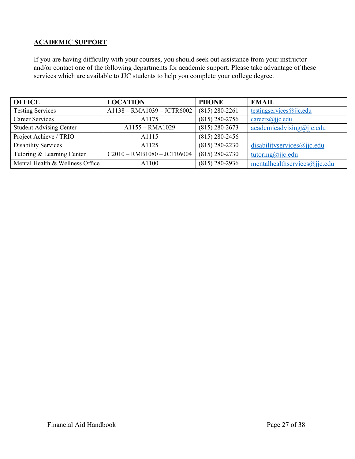## **ACADEMIC SUPPORT**

If you are having difficulty with your courses, you should seek out assistance from your instructor and/or contact one of the following departments for academic support. Please take advantage of these services which are available to JJC students to help you complete your college degree.

| <b>OFFICE</b>                   | <b>LOCATION</b>              | <b>PHONE</b>       | <b>EMAIL</b>                 |
|---------------------------------|------------------------------|--------------------|------------------------------|
| <b>Testing Services</b>         | $A1138 - RMA1039 - JCTR6002$ | $(815) 280 - 2261$ | testingservices@jjc.edu      |
| <b>Career Services</b>          | A1175                        | $(815)$ 280-2756   | $careers(a)$ jc.edu          |
| <b>Student Advising Center</b>  | A1155 - RMA1029              | $(815)$ 280-2673   | academicadvising@ijic.edu    |
| Project Achieve / TRIO          | A <sub>1115</sub>            | $(815)$ 280-2456   |                              |
| <b>Disability Services</b>      | A1125                        | $(815)$ 280-2230   | disabilityservices@jjc.edu   |
| Tutoring & Learning Center      | $C2010 - RMB1080 - JCTR6004$ | $(815) 280 - 2730$ | tutoring@jjc.edu             |
| Mental Health & Wellness Office | A1100                        | $(815)$ 280-2936   | mentalhealthservices@jjc.edu |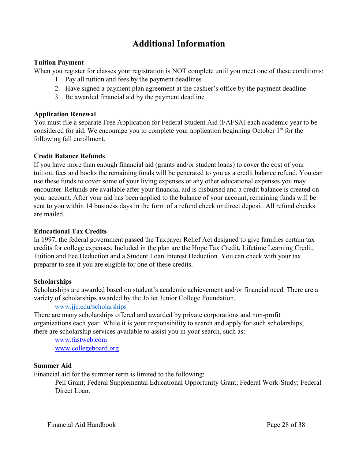## **Additional Information**

### <span id="page-27-0"></span>**Tuition Payment**

When you register for classes your registration is NOT complete until you meet one of these conditions:

- 1. Pay all tuition and fees by the payment deadlines
- 2. Have signed a payment plan agreement at the cashier's office by the payment deadline
- 3. Be awarded financial aid by the payment deadline

#### **Application Renewal**

You must file a separate Free Application for Federal Student Aid (FAFSA) each academic year to be considered for aid. We encourage you to complete your application beginning October 1<sup>st</sup> for the following fall enrollment.

#### **Credit Balance Refunds**

If you have more than enough financial aid (grants and/or student loans) to cover the cost of your tuition, fees and books the remaining funds will be generated to you as a credit balance refund. You can use these funds to cover some of your living expenses or any other educational expenses you may encounter. Refunds are available after your financial aid is disbursed and a credit balance is created on your account. After your aid has been applied to the balance of your account, remaining funds will be sent to you within 14 business days in the form of a refund check or direct deposit. All refund checks are mailed.

#### **Educational Tax Credits**

In 1997, the federal government passed the Taxpayer Relief Act designed to give families certain tax credits for college expenses. Included in the plan are the Hope Tax Credit, Lifetime Learning Credit, Tuition and Fee Deduction and a Student Loan Interest Deduction. You can check with your tax preparer to see if you are eligible for one of these credits.

#### **Scholarships**

Scholarships are awarded based on student's academic achievement and/or financial need. There are a variety of scholarships awarded by the Joliet Junior College Foundation.

#### [www.jjc.edu/scholarships](https://www.jjc.edu/getting-started/pay-college/scholarships)

There are many scholarships offered and awarded by private corporations and non-profit organizations each year. While it is your responsibility to search and apply for such scholarships, there are scholarship services available to assist you in your search, such as:

[www.fastweb.com](http://www.fastweb.com/) [www.collegeboard.org](http://www.collegeboard.org/)

#### **Summer Aid**

Financial aid for the summer term is limited to the following:

Pell Grant; Federal Supplemental Educational Opportunity Grant; Federal Work-Study; Federal Direct Loan.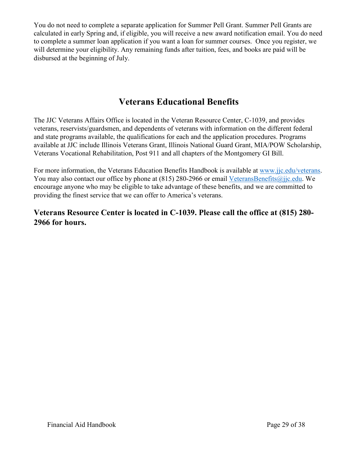You do not need to complete a separate application for Summer Pell Grant. Summer Pell Grants are calculated in early Spring and, if eligible, you will receive a new award notification email. You do need to complete a summer loan application if you want a loan for summer courses. Once you register, we will determine your eligibility. Any remaining funds after tuition, fees, and books are paid will be disbursed at the beginning of July.

## **Veterans Educational Benefits**

<span id="page-28-0"></span>The JJC Veterans Affairs Office is located in the Veteran Resource Center, C-1039, and provides veterans, reservists/guardsmen, and dependents of veterans with information on the different federal and state programs available, the qualifications for each and the application procedures. Programs available at JJC include Illinois Veterans Grant, Illinois National Guard Grant, MIA/POW Scholarship, Veterans Vocational Rehabilitation, Post 911 and all chapters of the Montgomery GI Bill.

For more information, the Veterans Education Benefits Handbook is available at [www.jjc.edu/veterans.](https://www.jjc.edu/getting-started/admissions/veterans-resource-center) You may also contact our office by phone at (815) 280-2966 or email [VeteransBenefits@jjc.edu.](mailto:VeteransBenefits@jjc.edu) We encourage anyone who may be eligible to take advantage of these benefits, and we are committed to providing the finest service that we can offer to America's veterans.

## **Veterans Resource Center is located in C-1039. Please call the office at (815) 280- 2966 for hours.**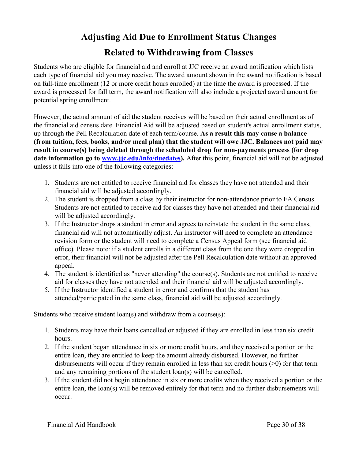# **Adjusting Aid Due to Enrollment Status Changes**

## **Related to Withdrawing from Classes**

<span id="page-29-0"></span>Students who are eligible for financial aid and enroll at JJC receive an award notification which lists each type of financial aid you may receive. The award amount shown in the award notification is based on full-time enrollment (12 or more credit hours enrolled) at the time the award is processed. If the award is processed for fall term, the award notification will also include a projected award amount for potential spring enrollment.

However, the actual amount of aid the student receives will be based on their actual enrollment as of the financial aid census date. Financial Aid will be adjusted based on student's actual enrollment status, up through the Pell Recalculation date of each term/course. **As a result this may cause a balance (from tuition, fees, books, and/or meal plan) that the student will owe JJC. Balances not paid may result in course(s) being deleted through the scheduled drop for non-payments process (for drop date information go to [www.jjc.edu/info/duedates\).](http://www.jjc.edu/info/duedates)** After this point, financial aid will not be adjusted unless it falls into one of the following categories:

- 1. Students are not entitled to receive financial aid for classes they have not attended and their financial aid will be adjusted accordingly.
- 2. The student is dropped from a class by their instructor for non-attendance prior to FA Census. Students are not entitled to receive aid for classes they have not attended and their financial aid will be adjusted accordingly.
- 3. If the Instructor drops a student in error and agrees to reinstate the student in the same class, financial aid will not automatically adjust. An instructor will need to complete an attendance revision form or the student will need to complete a Census Appeal form (see financial aid office). Please note: if a student enrolls in a different class from the one they were dropped in error, their financial will not be adjusted after the Pell Recalculation date without an approved appeal.
- 4. The student is identified as "never attending" the course(s). Students are not entitled to receive aid for classes they have not attended and their financial aid will be adjusted accordingly.
- 5. If the Instructor identified a student in error and confirms that the student has attended/participated in the same class, financial aid will be adjusted accordingly.

Students who receive student loan(s) and withdraw from a course(s):

- 1. Students may have their loans cancelled or adjusted if they are enrolled in less than six credit hours.
- 2. If the student began attendance in six or more credit hours, and they received a portion or the entire loan, they are entitled to keep the amount already disbursed. However, no further disbursements will occur if they remain enrolled in less than six credit hours (>0) for that term and any remaining portions of the student loan(s) will be cancelled.
- 3. If the student did not begin attendance in six or more credits when they received a portion or the entire loan, the loan(s) will be removed entirely for that term and no further disbursements will occur.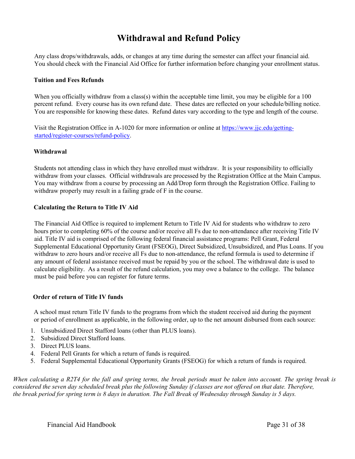## **Withdrawal and Refund Policy**

<span id="page-30-0"></span>Any class drops/withdrawals, adds, or changes at any time during the semester can affect your financial aid. You should check with the Financial Aid Office for further information before changing your enrollment status.

#### **Tuition and Fees Refunds**

When you officially withdraw from a class(s) within the acceptable time limit, you may be eligible for a 100 percent refund. Every course has its own refund date. These dates are reflected on your schedule/billing notice. You are responsible for knowing these dates. Refund dates vary according to the type and length of the course.

Visit the Registration Office in A-1020 for more information or online at [https://www.jjc.edu/getting](https://www.jjc.edu/getting-started/register-courses/refund-policy)[started/register-courses/refund-policy](https://www.jjc.edu/getting-started/register-courses/refund-policy)[.](http://www.jjc.edu/es/registration/policies.asp) 

#### **Withdrawal**

Students not attending class in which they have enrolled must withdraw. It is your responsibility to officially withdraw from your classes. Official withdrawals are processed by the Registration Office at the Main Campus. You may withdraw from a course by processing an Add/Drop form through the Registration Office. Failing to withdraw properly may result in a failing grade of F in the course.

#### **Calculating the Return to Title IV Aid**

The Financial Aid Office is required to implement Return to Title IV Aid for students who withdraw to zero hours prior to completing 60% of the course and/or receive all Fs due to non-attendance after receiving Title IV aid. Title IV aid is comprised of the following federal financial assistance programs: Pell Grant, Federal Supplemental Educational Opportunity Grant (FSEOG), Direct Subsidized, Unsubsidized, and Plus Loans. If you withdraw to zero hours and/or receive all Fs due to non-attendance, the refund formula is used to determine if any amount of federal assistance received must be repaid by you or the school. The withdrawal date is used to calculate eligibility. As a result of the refund calculation, you may owe a balance to the college. The balance must be paid before you can register for future terms.

#### **Order of return of Title IV funds**

A school must return Title IV funds to the programs from which the student received aid during the payment or period of enrollment as applicable, in the following order, up to the net amount disbursed from each source:

- 1. Unsubsidized Direct Stafford loans (other than PLUS loans).
- 2. Subsidized Direct Stafford loans.
- 3. Direct PLUS loans.
- 4. Federal Pell Grants for which a return of funds is required.
- 5. Federal Supplemental Educational Opportunity Grants (FSEOG) for which a return of funds is required.

*When calculating a R2T4 for the fall and spring terms, the break periods must be taken into account. The spring break is considered the seven day scheduled break plus the following Sunday if classes are not offered on that date. Therefore, the break period for spring term is 8 days in duration. The Fall Break of Wednesday through Sunday is 5 days.*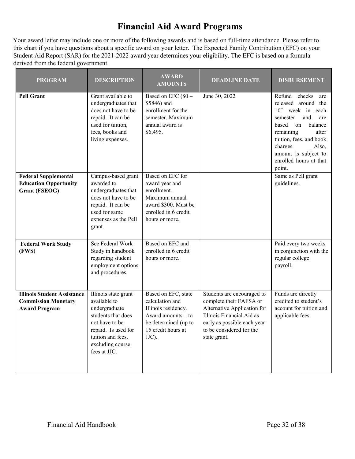# **Financial Aid Award Programs**

<span id="page-31-0"></span>Your award letter may include one or more of the following awards and is based on full-time attendance. Please refer to this chart if you have questions about a specific award on your letter. The Expected Family Contribution (EFC) on your Student Aid Report (SAR) for the 2021-2022 award year determines your eligibility. The EFC is based on a formula derived from the federal government.

| <b>PROGRAM</b>                                                                           | <b>DESCRIPTION</b>                                                                                                                                                            | <b>AWARD</b><br><b>AMOUNTS</b>                                                                                                               | <b>DEADLINE DATE</b>                                                                                                                                                                         | <b>DISBURSEMENT</b>                                                                                                                                                                                                                                             |
|------------------------------------------------------------------------------------------|-------------------------------------------------------------------------------------------------------------------------------------------------------------------------------|----------------------------------------------------------------------------------------------------------------------------------------------|----------------------------------------------------------------------------------------------------------------------------------------------------------------------------------------------|-----------------------------------------------------------------------------------------------------------------------------------------------------------------------------------------------------------------------------------------------------------------|
| <b>Pell Grant</b>                                                                        | Grant available to<br>undergraduates that<br>does not have to be<br>repaid. It can be<br>used for tuition,<br>fees, books and<br>living expenses.                             | Based on EFC (\$0 -<br>\$5846) and<br>enrollment for the<br>semester. Maximum<br>annual award is<br>\$6,495.                                 | June 30, 2022                                                                                                                                                                                | Refund checks are<br>released around the<br>10 <sup>th</sup> week in each<br>and<br>semester<br>are<br>balance<br>based<br>on<br>remaining<br>after<br>tuition, fees, and book<br>charges.<br>Also,<br>amount is subject to<br>enrolled hours at that<br>point. |
| <b>Federal Supplemental</b><br><b>Education Opportunity</b><br><b>Grant (FSEOG)</b>      | Campus-based grant<br>awarded to<br>undergraduates that<br>does not have to be<br>repaid. It can be<br>used for same<br>expenses as the Pell<br>grant.                        | Based on EFC for<br>award year and<br>enrollment.<br>Maximum annual<br>award \$300. Must be<br>enrolled in 6 credit<br>hours or more.        |                                                                                                                                                                                              | Same as Pell grant<br>guidelines.                                                                                                                                                                                                                               |
| <b>Federal Work Study</b><br>(FWS)                                                       | See Federal Work<br>Study in handbook<br>regarding student<br>employment options<br>and procedures.                                                                           | Based on EFC and<br>enrolled in 6 credit<br>hours or more.                                                                                   |                                                                                                                                                                                              | Paid every two weeks<br>in conjunction with the<br>regular college<br>payroll.                                                                                                                                                                                  |
| <b>Illinois Student Assistance</b><br><b>Commission Monetary</b><br><b>Award Program</b> | Illinois state grant<br>available to<br>undergraduate<br>students that does<br>not have to be<br>repaid. Is used for<br>tuition and fees,<br>excluding course<br>fees at JJC. | Based on EFC, state<br>calculation and<br>Illinois residency.<br>Award amounts $-$ to<br>be determined (up to<br>15 credit hours at<br>JJC). | Students are encouraged to<br>complete their FAFSA or<br>Alternative Application for<br>Illinois Financial Aid as<br>early as possible each year<br>to be considered for the<br>state grant. | Funds are directly<br>credited to student's<br>account for tuition and<br>applicable fees.                                                                                                                                                                      |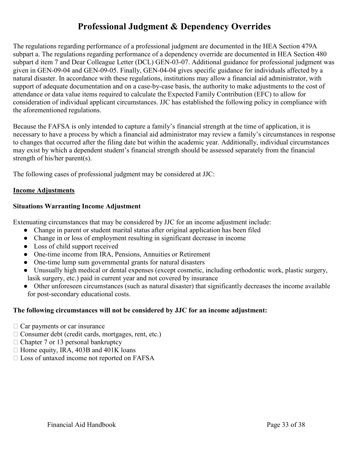## **Professional Judgment & Dependency Overrides**

The regulations regarding performance of a professional judgment are documented in the HEA Section 479A subpart a. The regulations regarding performance of a dependency override are documented in HEA Section 480 subpart d item 7 and Dear Colleague Letter (DCL) GEN-03-07. Additional guidance for professional judgment was given in GEN-09-04 and GEN-09-05. Finally, GEN-04-04 gives specific guidance for individuals affected by a natural disaster. In accordance with these regulations, institutions may allow a financial aid administrator, with support of adequate documentation and on a case-by-case basis, the authority to make adjustments to the cost of attendance or data value items required to calculate the Expected Family Contribution (EFC) to allow for consideration of individual applicant circumstances. JJC has established the following policy in compliance with the aforementioned regulations.

Because the FAFSA is only intended to capture a family's financial strength at the time of application, it is necessary to have a process by which a financial aid administrator may review a family's circumstances in response to changes that occurred after the filing date but within the academic year. Additionally, individual circumstances may exist by which a dependent student's financial strength should be assessed separately from the financial strength of his/her parent(s).

The following cases of professional judgment may be considered at JJC:

#### **Income Adjustments**

#### **Situations Warranting Income Adjustment**

Extenuating circumstances that may be considered by JJC for an income adjustment include:

- Change in parent or student marital status after original application has been filed
- Change in or loss of employment resulting in significant decrease in income
- Loss of child support received
- One-time income from IRA, Pensions, Annuities or Retirement
- One-time lump sum governmental grants for natural disasters
- Unusually high medical or dental expenses (except cosmetic, including orthodontic work, plastic surgery, lasik surgery, etc.) paid in current year and not covered by insurance
- Other unforeseen circumstances (such as natural disaster) that significantly decreases the income available for post-secondary educational costs.

## **The following circumstances will not be considered by JJC for an income adjustment:**

- $\Box$  Car payments or car insurance
- $\Box$  Consumer debt (credit cards, mortgages, rent, etc.)
- $\Box$  Chapter 7 or 13 personal bankruptcy
- $\Box$  Home equity, IRA, 403B and 401K loans
- □ Loss of untaxed income not reported on FAFSA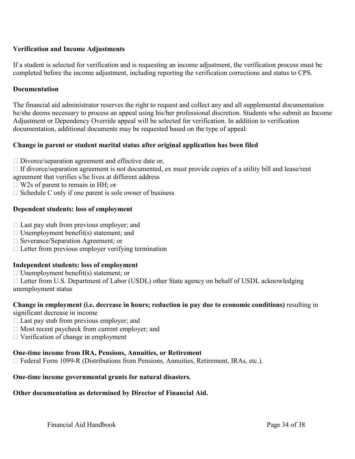## **Verification and Income Adjustments**

If a student is selected for verification and is requesting an income adjustment, the verification process must be completed before the income adjustment, including reporting the verification corrections and status to CPS.

#### **Documentation**

The financial aid administrator reserves the right to request and collect any and all supplemental documentation he/she deems necessary to process an appeal using his/her professional discretion. Students who submit an Income Adjustment or Dependency Override appeal will be selected for verification. In addition to verification documentation, additional documents may be requested based on the type of appeal:

## **Change in parent or student marital status after original application has been filed**

 $\Box$  Divorce/separation agreement and effective date or,

 $\Box$  If divorce/separation agreement is not documented, ex must provide copies of a utility bill and lease/rent agreement that verifies s/he lives at different address

- □ W2s of parent to remain in HH; or
- $\Box$  Schedule C only if one parent is sole owner of business

#### **Dependent students: loss of employment**

- $\Box$  Last pay stub from previous employer; and
- $\Box$  Unemployment benefit(s) statement; and
- □ Severance/Separation Agreement; or
- $\Box$  Letter from previous employer verifying termination

#### **Independent students: loss of employment**

- $\Box$  Unemployment benefit(s) statement; or
- $\Box$  Letter from U.S. Department of Labor (USDL) other State agency on behalf of USDL acknowledging unemployment status

## **Change in employment (i.e. decrease in hours; reduction in pay due to economic conditions)** resulting in

- significant decrease in income
- $\Box$  Last pay stub from previous employer; and
- $\Box$  Most recent paycheck from current employer; and
- Verification of change in employment

#### **One-time income from IRA, Pensions, Annuities, or Retirement**

□ Federal Form 1099-R (Distributions from Pensions, Annuities, Retirement, IRAs, etc.).

#### **One-time income governmental grants for natural disasters.**

#### **Other documentation as determined by Director of Financial Aid.**

Financial Aid Handbook Page 34 of 38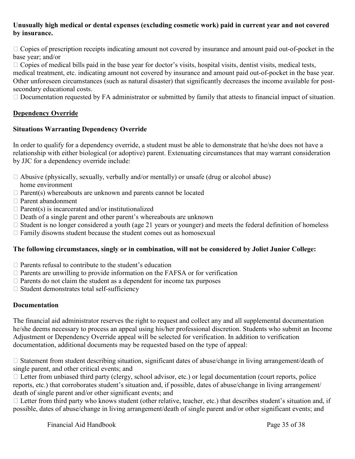## **Unusually high medical or dental expenses (excluding cosmetic work) paid in current year and not covered by insurance.**

 $\Box$  Copies of prescription receipts indicating amount not covered by insurance and amount paid out-of-pocket in the base year; and/or

 $\Box$  Copies of medical bills paid in the base year for doctor's visits, hospital visits, dentist visits, medical tests,

medical treatment, etc. indicating amount not covered by insurance and amount paid out-of-pocket in the base year. Other unforeseen circumstances (such as natural disaster) that significantly decreases the income available for postsecondary educational costs.

 $\Box$  Documentation requested by FA administrator or submitted by family that attests to financial impact of situation.

## **Dependency Override**

## **Situations Warranting Dependency Override**

In order to qualify for a dependency override, a student must be able to demonstrate that he/she does not have a relationship with either biological (or adoptive) parent. Extenuating circumstances that may warrant consideration by JJC for a dependency override include:

- $\Box$  Abusive (physically, sexually, verbally and/or mentally) or unsafe (drug or alcohol abuse)
- home environment
- $\Box$  Parent(s) whereabouts are unknown and parents cannot be located
- Parent abandonment
- $\Box$  Parent(s) is incarcerated and/or institutionalized
- $\Box$  Death of a single parent and other parent's whereabouts are unknown
- $\Box$  Student is no longer considered a youth (age 21 years or younger) and meets the federal definition of homeless
- $\Box$  Family disowns student because the student comes out as homosexual

## **The following circumstances, singly or in combination, will not be considered by Joliet Junior College:**

- $\Box$  Parents refusal to contribute to the student's education
- $\Box$  Parents are unwilling to provide information on the FAFSA or for verification
- $\Box$  Parents do not claim the student as a dependent for income tax purposes
- $\Box$  Student demonstrates total self-sufficiency

## **Documentation**

The financial aid administrator reserves the right to request and collect any and all supplemental documentation he/she deems necessary to process an appeal using his/her professional discretion. Students who submit an Income Adjustment or Dependency Override appeal will be selected for verification. In addition to verification documentation, additional documents may be requested based on the type of appeal:

 $\Box$  Statement from student describing situation, significant dates of abuse/change in living arrangement/death of single parent, and other critical events; and

 $\Box$  Letter from unbiased third party (clergy, school advisor, etc.) or legal documentation (court reports, police reports, etc.) that corroborates student's situation and, if possible, dates of abuse/change in living arrangement/ death of single parent and/or other significant events; and

 $\Box$  Letter from third party who knows student (other relative, teacher, etc.) that describes student's situation and, if possible, dates of abuse/change in living arrangement/death of single parent and/or other significant events; and

Financial Aid Handbook Page 35 of 38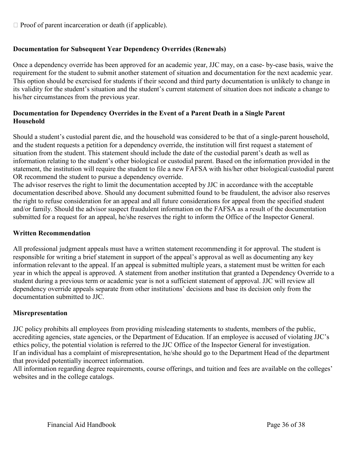$\Box$  Proof of parent incarceration or death (if applicable).

## **Documentation for Subsequent Year Dependency Overrides (Renewals)**

Once a dependency override has been approved for an academic year, JJC may, on a case- by-case basis, waive the requirement for the student to submit another statement of situation and documentation for the next academic year. This option should be exercised for students if their second and third party documentation is unlikely to change in its validity for the student's situation and the student's current statement of situation does not indicate a change to his/her circumstances from the previous year.

## **Documentation for Dependency Overrides in the Event of a Parent Death in a Single Parent Household**

Should a student's custodial parent die, and the household was considered to be that of a single-parent household, and the student requests a petition for a dependency override, the institution will first request a statement of situation from the student. This statement should include the date of the custodial parent's death as well as information relating to the student's other biological or custodial parent. Based on the information provided in the statement, the institution will require the student to file a new FAFSA with his/her other biological/custodial parent OR recommend the student to pursue a dependency override.

The advisor reserves the right to limit the documentation accepted by JJC in accordance with the acceptable documentation described above. Should any document submitted found to be fraudulent, the advisor also reserves the right to refuse consideration for an appeal and all future considerations for appeal from the specified student and/or family. Should the advisor suspect fraudulent information on the FAFSA as a result of the documentation submitted for a request for an appeal, he/she reserves the right to inform the Office of the Inspector General.

#### **Written Recommendation**

All professional judgment appeals must have a written statement recommending it for approval. The student is responsible for writing a brief statement in support of the appeal's approval as well as documenting any key information relevant to the appeal. If an appeal is submitted multiple years, a statement must be written for each year in which the appeal is approved. A statement from another institution that granted a Dependency Override to a student during a previous term or academic year is not a sufficient statement of approval. JJC will review all dependency override appeals separate from other institutions' decisions and base its decision only from the documentation submitted to JJC.

#### **Misrepresentation**

JJC policy prohibits all employees from providing misleading statements to students, members of the public, accrediting agencies, state agencies, or the Department of Education. If an employee is accused of violating JJC's ethics policy, the potential violation is referred to the JJC Office of the Inspector General for investigation. If an individual has a complaint of misrepresentation, he/she should go to the Department Head of the department that provided potentially incorrect information.

All information regarding degree requirements, course offerings, and tuition and fees are available on the colleges' websites and in the college catalogs.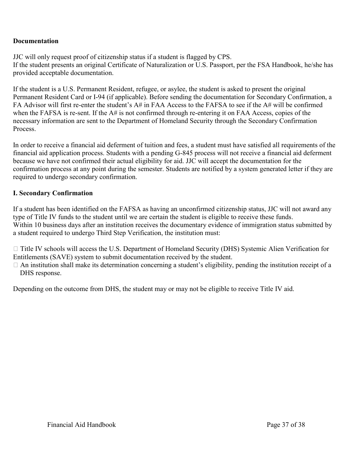## **Documentation**

JJC will only request proof of citizenship status if a student is flagged by CPS. If the student presents an original Certificate of Naturalization or U.S. Passport, per the FSA Handbook, he/she has provided acceptable documentation.

If the student is a U.S. Permanent Resident, refugee, or asylee, the student is asked to present the original Permanent Resident Card or I-94 (if applicable). Before sending the documentation for Secondary Confirmation, a FA Advisor will first re-enter the student's A# in FAA Access to the FAFSA to see if the A# will be confirmed when the FAFSA is re-sent. If the A# is not confirmed through re-entering it on FAA Access, copies of the necessary information are sent to the Department of Homeland Security through the Secondary Confirmation Process.

In order to receive a financial aid deferment of tuition and fees, a student must have satisfied all requirements of the financial aid application process. Students with a pending G-845 process will not receive a financial aid deferment because we have not confirmed their actual eligibility for aid. JJC will accept the documentation for the confirmation process at any point during the semester. Students are notified by a system generated letter if they are required to undergo secondary confirmation.

## **I. Secondary Confirmation**

If a student has been identified on the FAFSA as having an unconfirmed citizenship status, JJC will not award any type of Title IV funds to the student until we are certain the student is eligible to receive these funds. Within 10 business days after an institution receives the documentary evidence of immigration status submitted by a student required to undergo Third Step Verification, the institution must:

□ Title IV schools will access the U.S. Department of Homeland Security (DHS) Systemic Alien Verification for Entitlements (SAVE) system to submit documentation received by the student.

 $\Box$  An institution shall make its determination concerning a student's eligibility, pending the institution receipt of a DHS response.

Depending on the outcome from DHS, the student may or may not be eligible to receive Title IV aid.